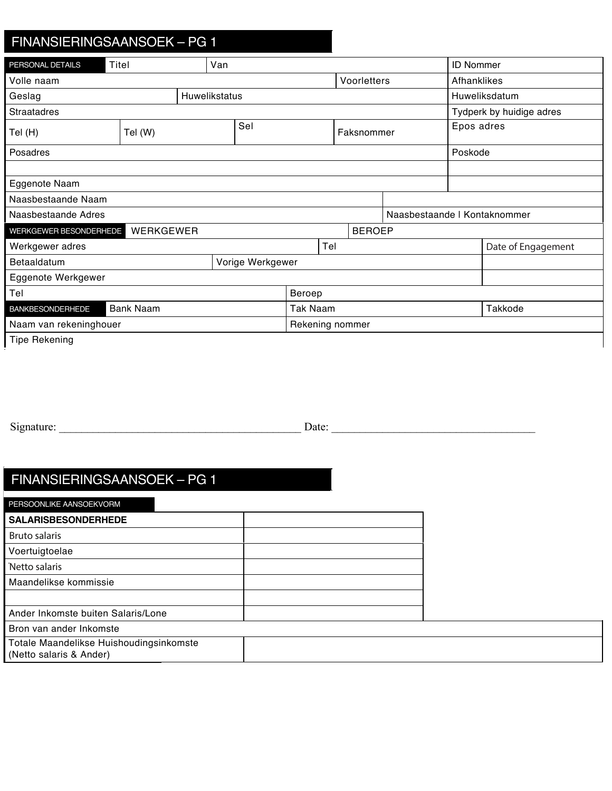## Deposit/Trade In Other Residual FINANSIERINGSAANSOEK – PG 1 FINANSIERINGSAANSOEK – PG 1

| PERSONAL DETAILS                            | Titel<br>Van |  |  |                 |     |               | <b>ID Nommer</b> |                              |            |                          |
|---------------------------------------------|--------------|--|--|-----------------|-----|---------------|------------------|------------------------------|------------|--------------------------|
| Volle naam                                  |              |  |  | Voorletters     |     |               | Afhanklikes      |                              |            |                          |
| <b>Huwelikstatus</b><br>Geslag              |              |  |  |                 |     |               | Huweliksdatum    |                              |            |                          |
| <b>Straatadres</b>                          |              |  |  |                 |     |               |                  |                              |            | Tydperk by huidige adres |
| Tel (H)                                     | Tel (W)      |  |  | Sel             |     | Faksnommer    |                  |                              | Epos adres |                          |
| Posadres                                    |              |  |  |                 |     |               | Poskode          |                              |            |                          |
|                                             |              |  |  |                 |     |               |                  |                              |            |                          |
| Eggenote Naam                               |              |  |  |                 |     |               |                  |                              |            |                          |
| Naasbestaande Naam                          |              |  |  |                 |     |               |                  |                              |            |                          |
| Naasbestaande Adres                         |              |  |  |                 |     |               |                  | Naasbestaande   Kontaknommer |            |                          |
| WERKGEWER BESONDERHEDE                      | WERKGEWER    |  |  |                 |     | <b>BEROEP</b> |                  |                              |            |                          |
| Werkgewer adres                             |              |  |  |                 | Tel |               |                  |                              |            | Date of Engagement       |
| Vorige Werkgewer<br>Betaaldatum             |              |  |  |                 |     |               |                  |                              |            |                          |
| Eggenote Werkgewer                          |              |  |  |                 |     |               |                  |                              |            |                          |
| Tel                                         |              |  |  | Beroep          |     |               |                  |                              |            |                          |
| <b>Bank Naam</b><br><b>BANKBESONDERHEDE</b> |              |  |  | <b>Tak Naam</b> |     |               |                  |                              | Takkode    |                          |
| Naam van rekeninghouer                      |              |  |  | Rekening nommer |     |               |                  |                              |            |                          |
| <b>Tipe Rekening</b>                        |              |  |  |                 |     |               |                  |                              |            |                          |

Used Model Make M&M Code

Signature: <br>
Date:  $Signature:$   $\Box$ 

 $E_{\text{E}}$  details  $\frac{1}{2}$  details  $\frac{1}{2}$  details  $\frac{1}{2}$  details  $\frac{1}{2}$ 

Previous Address Period At Previous Address

## $HINANSIERINGSAANSOEK - PG1$ Salary Date Previous Employer No. Of Years And Years No. Of Years And Years No. Of Years No. Of Years No. Of Years No. Of Years No. Of Years No. Of Years No. Of Years No. Of Years No. Of Years No. Of Years No. Of Years No.  $\frac{1}{2}$  $F(t)$ FINANSIERINGSAANSOEK – PG 1 Spouse Employer No. Of Years and the Company of Years and The Company of Years and The Company of Years and Th FINANSIERINGSAANSOEK – PG 1

| PERSOONLIKE AANSOEKVORM                                            |  |
|--------------------------------------------------------------------|--|
| <b>SALARISBESONDERHEDE</b>                                         |  |
| Bruto salaris                                                      |  |
| Voertuigtoelae                                                     |  |
| Netto salaris                                                      |  |
| Maandelikse kommissie                                              |  |
|                                                                    |  |
| Ander Inkomste buiten Salaris/Lone                                 |  |
| Bron van ander Inkomste                                            |  |
| Totale Maandelikse Huishoudingsinkomste<br>(Netto salaris & Ander) |  |